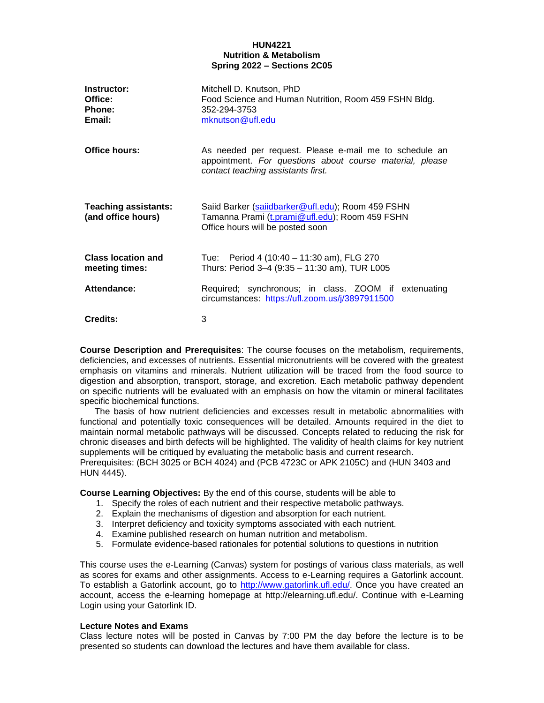# **HUN4221 Nutrition & Metabolism Spring 2022 – Sections 2C05**

| Instructor:<br>Office:<br>Phone:<br>Email:        | Mitchell D. Knutson, PhD<br>Food Science and Human Nutrition, Room 459 FSHN Bldg.<br>352-294-3753<br>mknutson@ufl.edu                                    |
|---------------------------------------------------|----------------------------------------------------------------------------------------------------------------------------------------------------------|
| Office hours:                                     | As needed per request. Please e-mail me to schedule an<br>appointment. For questions about course material, please<br>contact teaching assistants first. |
| <b>Teaching assistants:</b><br>(and office hours) | Saiid Barker (saiidbarker@ufl.edu); Room 459 FSHN<br>Tamanna Prami (t.prami@ufl.edu); Room 459 FSHN<br>Office hours will be posted soon                  |
| <b>Class location and</b><br>meeting times:       | Tue: Period 4 (10:40 – 11:30 am), FLG 270<br>Thurs: Period 3-4 (9:35 - 11:30 am), TUR L005                                                               |
| Attendance:                                       | Required; synchronous; in class. ZOOM if extenuating<br>circumstances: https://ufl.zoom.us/j/3897911500                                                  |
| Credits:                                          | 3                                                                                                                                                        |

**Course Description and Prerequisites**: The course focuses on the metabolism, requirements, deficiencies, and excesses of nutrients. Essential micronutrients will be covered with the greatest emphasis on vitamins and minerals. Nutrient utilization will be traced from the food source to digestion and absorption, transport, storage, and excretion. Each metabolic pathway dependent on specific nutrients will be evaluated with an emphasis on how the vitamin or mineral facilitates specific biochemical functions.

 The basis of how nutrient deficiencies and excesses result in metabolic abnormalities with functional and potentially toxic consequences will be detailed. Amounts required in the diet to maintain normal metabolic pathways will be discussed. Concepts related to reducing the risk for chronic diseases and birth defects will be highlighted. The validity of health claims for key nutrient supplements will be critiqued by evaluating the metabolic basis and current research. Prerequisites: (BCH 3025 or BCH 4024) and (PCB 4723C or APK 2105C) and (HUN 3403 and HUN 4445).

**Course Learning Objectives:** By the end of this course, students will be able to

- 1. Specify the roles of each nutrient and their respective metabolic pathways.
- 2. Explain the mechanisms of digestion and absorption for each nutrient.
- 3. Interpret deficiency and toxicity symptoms associated with each nutrient.
- 4. Examine published research on human nutrition and metabolism.
- 5. Formulate evidence-based rationales for potential solutions to questions in nutrition

This course uses the e-Learning (Canvas) system for postings of various class materials, as well as scores for exams and other assignments. Access to e-Learning requires a Gatorlink account. To establish a Gatorlink account, go to [http://www.gatorlink.ufl.edu/.](http://www.gatorlink.ufl.edu/) Once you have created an account, access the e-learning homepage at http://elearning.ufl.edu/. Continue with e-Learning Login using your Gatorlink ID.

# **Lecture Notes and Exams**

Class lecture notes will be posted in Canvas by 7:00 PM the day before the lecture is to be presented so students can download the lectures and have them available for class.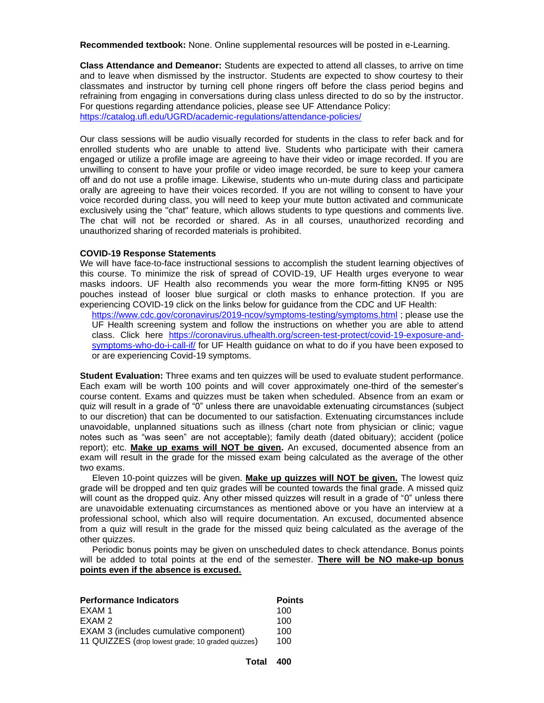**Recommended textbook:** None. Online supplemental resources will be posted in e-Learning.

**Class Attendance and Demeanor:** Students are expected to attend all classes, to arrive on time and to leave when dismissed by the instructor. Students are expected to show courtesy to their classmates and instructor by turning cell phone ringers off before the class period begins and refraining from engaging in conversations during class unless directed to do so by the instructor. For questions regarding attendance policies, please see UF Attendance Policy: <https://catalog.ufl.edu/UGRD/academic-regulations/attendance-policies/>

Our class sessions will be audio visually recorded for students in the class to refer back and for enrolled students who are unable to attend live. Students who participate with their camera engaged or utilize a profile image are agreeing to have their video or image recorded. If you are unwilling to consent to have your profile or video image recorded, be sure to keep your camera off and do not use a profile image. Likewise, students who un-mute during class and participate orally are agreeing to have their voices recorded. If you are not willing to consent to have your voice recorded during class, you will need to keep your mute button activated and communicate exclusively using the "chat" feature, which allows students to type questions and comments live. The chat will not be recorded or shared. As in all courses, unauthorized recording and unauthorized sharing of recorded materials is prohibited.

## **COVID-19 Response Statements**

We will have face-to-face instructional sessions to accomplish the student learning objectives of this course. To minimize the risk of spread of COVID-19, UF Health urges everyone to wear masks indoors. UF Health also recommends you wear the more form-fitting KN95 or N95 pouches instead of looser blue surgical or cloth masks to enhance protection. If you are experiencing COVID-19 click on the links below for guidance from the CDC and UF Health:

<https://www.cdc.gov/coronavirus/2019-ncov/symptoms-testing/symptoms.html> ; please use the UF Health screening system and follow the instructions on whether you are able to attend class. Click here [https://coronavirus.ufhealth.org/screen-test-protect/covid-19-exposure-and](https://coronavirus.ufhealth.org/screen-test-protect/covid-19-exposure-and-symptoms-who-do-i-call-if/)[symptoms-who-do-i-call-if/](https://coronavirus.ufhealth.org/screen-test-protect/covid-19-exposure-and-symptoms-who-do-i-call-if/) for UF Health guidance on what to do if you have been exposed to or are experiencing Covid-19 symptoms.

**Student Evaluation:** Three exams and ten quizzes will be used to evaluate student performance. Each exam will be worth 100 points and will cover approximately one-third of the semester's course content. Exams and quizzes must be taken when scheduled. Absence from an exam or quiz will result in a grade of "0" unless there are unavoidable extenuating circumstances (subject to our discretion) that can be documented to our satisfaction. Extenuating circumstances include unavoidable, unplanned situations such as illness (chart note from physician or clinic; vague notes such as "was seen" are not acceptable); family death (dated obituary); accident (police report); etc. **Make up exams will NOT be given.** An excused, documented absence from an exam will result in the grade for the missed exam being calculated as the average of the other two exams.

 Eleven 10-point quizzes will be given. **Make up quizzes will NOT be given.** The lowest quiz grade will be dropped and ten quiz grades will be counted towards the final grade. A missed quiz will count as the dropped quiz. Any other missed quizzes will result in a grade of "0" unless there are unavoidable extenuating circumstances as mentioned above or you have an interview at a professional school, which also will require documentation. An excused, documented absence from a quiz will result in the grade for the missed quiz being calculated as the average of the other quizzes.

 Periodic bonus points may be given on unscheduled dates to check attendance. Bonus points will be added to total points at the end of the semester. **There will be NO make-up bonus points even if the absence is excused.**

| <b>Performance Indicators</b>                     | <b>Points</b> |
|---------------------------------------------------|---------------|
| EXAM 1                                            | 100           |
| EXAM 2                                            | 100           |
| EXAM 3 (includes cumulative component)            | 100           |
| 11 QUIZZES (drop lowest grade; 10 graded quizzes) | 100           |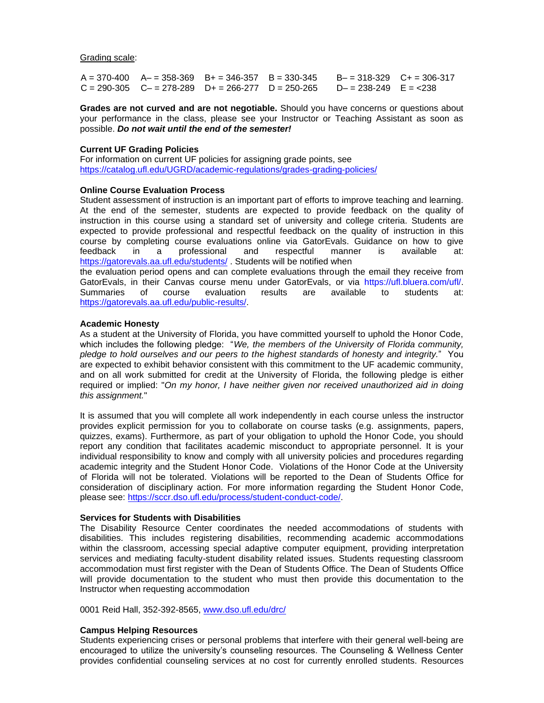Grading scale:

 $A = 370-400$   $A = 358-369$   $B = 346-357$   $B = 330-345$   $B = 318-329$   $C = 306-317$  $C = 290-305$   $C = 278-289$   $D+ = 266-277$   $D = 250-265$   $D- = 238-249$   $E = <238$ 

**Grades are not curved and are not negotiable.** Should you have concerns or questions about your performance in the class, please see your Instructor or Teaching Assistant as soon as possible. *Do not wait until the end of the semester!*

## **Current UF Grading Policies**

For information on current UF policies for assigning grade points, see <https://catalog.ufl.edu/UGRD/academic-regulations/grades-grading-policies/>

### **Online Course Evaluation Process**

Student assessment of instruction is an important part of efforts to improve teaching and learning. At the end of the semester, students are expected to provide feedback on the quality of instruction in this course using a standard set of university and college criteria. Students are expected to provide professional and respectful feedback on the quality of instruction in this course by completing course evaluations online via GatorEvals. Guidance on how to give feedback in a professional and respectful manner is available at: <https://gatorevals.aa.ufl.edu/students/> . Students will be notified when

the evaluation period opens and can complete evaluations through the email they receive from GatorEvals, in their Canvas course menu under GatorEvals, or via https://ufl.bluera.com/ufl/. Summaries of course evaluation results are available to students at: [https://gatorevals.aa.ufl.edu/public-results/.](https://gatorevals.aa.ufl.edu/public-results/)

#### **Academic Honesty**

As a student at the University of Florida, you have committed yourself to uphold the Honor Code, which includes the following pledge: "*We, the members of the University of Florida community, pledge to hold ourselves and our peers to the highest standards of honesty and integrity.*" You are expected to exhibit behavior consistent with this commitment to the UF academic community, and on all work submitted for credit at the University of Florida, the following pledge is either required or implied: "*On my honor, I have neither given nor received unauthorized aid in doing this assignment.*"

It is assumed that you will complete all work independently in each course unless the instructor provides explicit permission for you to collaborate on course tasks (e.g. assignments, papers, quizzes, exams). Furthermore, as part of your obligation to uphold the Honor Code, you should report any condition that facilitates academic misconduct to appropriate personnel. It is your individual responsibility to know and comply with all university policies and procedures regarding academic integrity and the Student Honor Code. Violations of the Honor Code at the University of Florida will not be tolerated. Violations will be reported to the Dean of Students Office for consideration of disciplinary action. For more information regarding the Student Honor Code, please see: [https://sccr.dso.ufl.edu/process/student-conduct-code/.](https://sccr.dso.ufl.edu/process/student-conduct-code/)

#### **Services for Students with Disabilities**

The Disability Resource Center coordinates the needed accommodations of students with disabilities. This includes registering disabilities, recommending academic accommodations within the classroom, accessing special adaptive computer equipment, providing interpretation services and mediating faculty-student disability related issues. Students requesting classroom accommodation must first register with the Dean of Students Office. The Dean of Students Office will provide documentation to the student who must then provide this documentation to the Instructor when requesting accommodation

0001 Reid Hall, 352-392-8565, [www.dso.ufl.edu/drc/](http://www.dso.ufl.edu/drc/)

# **Campus Helping Resources**

Students experiencing crises or personal problems that interfere with their general well-being are encouraged to utilize the university's counseling resources. The Counseling & Wellness Center provides confidential counseling services at no cost for currently enrolled students. Resources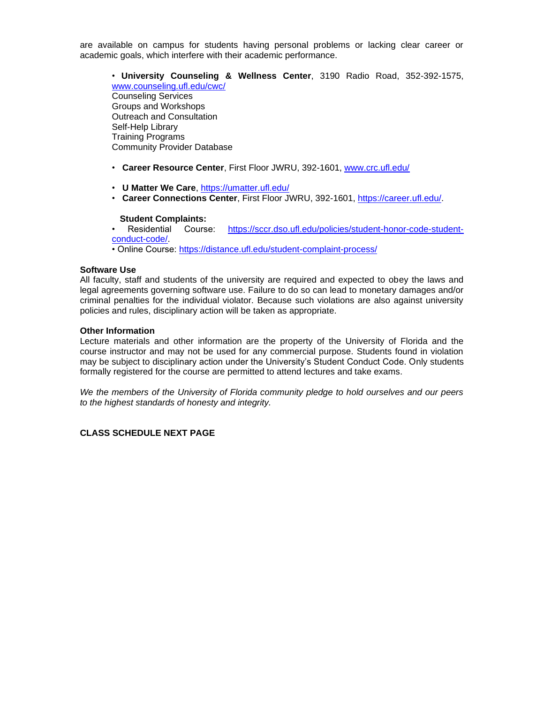are available on campus for students having personal problems or lacking clear career or academic goals, which interfere with their academic performance.

• **University Counseling & Wellness Center**, 3190 Radio Road, 352-392-1575, [www.counseling.ufl.edu/cwc/](http://www.counseling.ufl.edu/cwc/) Counseling Services Groups and Workshops Outreach and Consultation Self-Help Library Training Programs Community Provider Database

- **Career Resource Center**, First Floor JWRU, 392-1601, [www.crc.ufl.edu/](http://www.crc.ufl.edu/)
- **U Matter We Care**,<https://umatter.ufl.edu/>
- **Career Connections Center**, First Floor JWRU, 392-1601, [https://career.ufl.edu/.](https://career.ufl.edu/)

#### **Student Complaints:**

• Residential Course: [https://sccr.dso.ufl.edu/policies/student-honor-code-student](https://sccr.dso.ufl.edu/policies/student-honor-code-student-conduct-code/)[conduct-code/.](https://sccr.dso.ufl.edu/policies/student-honor-code-student-conduct-code/)

• Online Course:<https://distance.ufl.edu/student-complaint-process/>

### **Software Use**

All faculty, staff and students of the university are required and expected to obey the laws and legal agreements governing software use. Failure to do so can lead to monetary damages and/or criminal penalties for the individual violator. Because such violations are also against university policies and rules, disciplinary action will be taken as appropriate.

## **Other Information**

Lecture materials and other information are the property of the University of Florida and the course instructor and may not be used for any commercial purpose. Students found in violation may be subject to disciplinary action under the University's Student Conduct Code. Only students formally registered for the course are permitted to attend lectures and take exams.

*We the members of the University of Florida community pledge to hold ourselves and our peers to the highest standards of honesty and integrity.*

# **CLASS SCHEDULE NEXT PAGE**